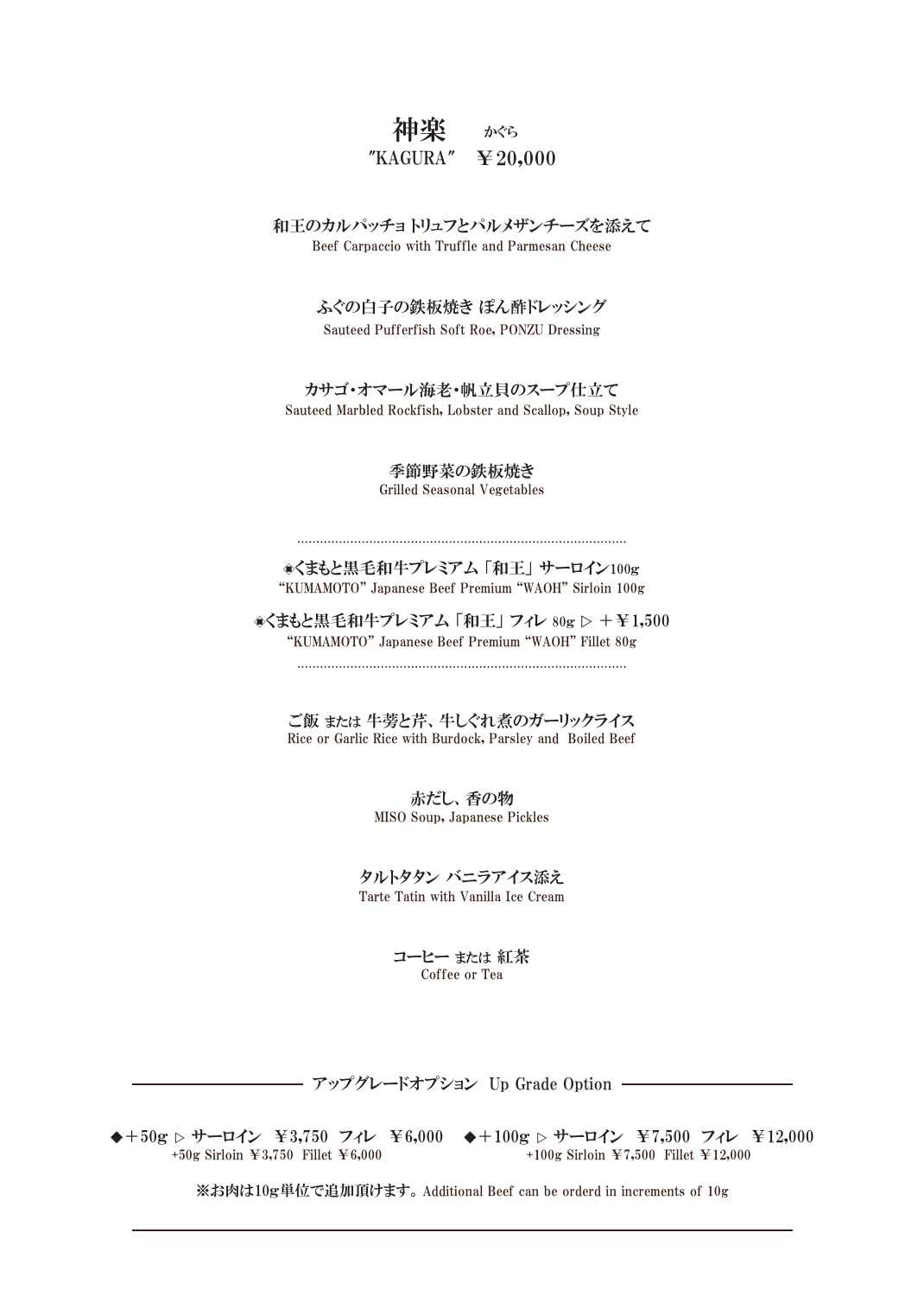## 神楽 かくら  $"KAGURA" \equiv 20,000$

Beef Carpaccio with Truffle and Parmesan Cheese 和王のカルパッチョ トリュフとパルメザンチーズを添えて

> ふぐの白子の鉄板焼き ぽん酢ドレッシング Sauteed Pufferfish Soft Roe, PONZU Dressing

カサゴ・オマール海老・帆立貝のスープ仕立て Sauteed Marbled Rockfish, Lobster and Scallop, Soup Style

> 季節野菜の鉄板焼き Grilled Seasonal Vegetables

"KUMAMOTO" Japanese Beef Premium "WAOH" Sirloin 100g ◇くまもと黒毛和牛プレミアム 「和王」 サーロイン100g

◇くまもと黒毛和牛プレミアム 「和王」 フィレ 80g ▷ +¥1,500 "KUMAMOTO" Japanese Beef Premium "WAOH" Fillet 80g

Rice or Garlic Rice with Burdock, Parsley and Boiled Beef ご飯 または 牛蒡と芹、牛しぐれ煮のガーリックライス

> MISO Soup, Japanese Pickles 赤だし、香の物

タルトタタン バニラアイス添え Tarte Tatin with Vanilla Ice Cream

> コーヒー または 紅茶 Coffee or Tea

アップグレードオプション Up Grade Option

+50g Sirloin ¥3,750 Fillet ¥6,000

◆+50g ▷ サーロイン ¥3,750 フィレ ¥6,000 ◆+100g ▷ サーロイン ¥7,500 フィレ ¥12,000 +100g Sirloin ¥7,500 Fillet ¥12,000

※お肉は10g単位で追加頂けます。Additional Beef can be orderd in increments of 10g